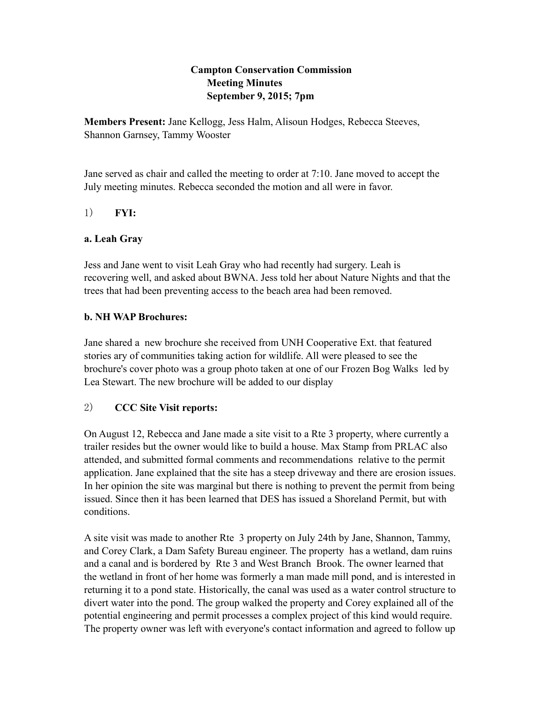## **Campton Conservation Commission Meeting Minutes September 9, 2015; 7pm**

**Members Present:** Jane Kellogg, Jess Halm, Alisoun Hodges, Rebecca Steeves, Shannon Garnsey, Tammy Wooster

Jane served as chair and called the meeting to order at 7:10. Jane moved to accept the July meeting minutes. Rebecca seconded the motion and all were in favor.

1) **FYI:**

### **a. Leah Gray**

Jess and Jane went to visit Leah Gray who had recently had surgery. Leah is recovering well, and asked about BWNA. Jess told her about Nature Nights and that the trees that had been preventing access to the beach area had been removed.

## **b. NH WAP Brochures:**

Jane shared a new brochure she received from UNH Cooperative Ext. that featured stories ary of communities taking action for wildlife. All were pleased to see the brochure's cover photo was a group photo taken at one of our Frozen Bog Walks led by Lea Stewart. The new brochure will be added to our display

## 2) **CCC Site Visit reports:**

On August 12, Rebecca and Jane made a site visit to a Rte 3 property, where currently a trailer resides but the owner would like to build a house. Max Stamp from PRLAC also attended, and submitted formal comments and recommendations relative to the permit application. Jane explained that the site has a steep driveway and there are erosion issues. In her opinion the site was marginal but there is nothing to prevent the permit from being issued. Since then it has been learned that DES has issued a Shoreland Permit, but with conditions.

A site visit was made to another Rte 3 property on July 24th by Jane, Shannon, Tammy, and Corey Clark, a Dam Safety Bureau engineer. The property has a wetland, dam ruins and a canal and is bordered by Rte 3 and West Branch Brook. The owner learned that the wetland in front of her home was formerly a man made mill pond, and is interested in returning it to a pond state. Historically, the canal was used as a water control structure to divert water into the pond. The group walked the property and Corey explained all of the potential engineering and permit processes a complex project of this kind would require. The property owner was left with everyone's contact information and agreed to follow up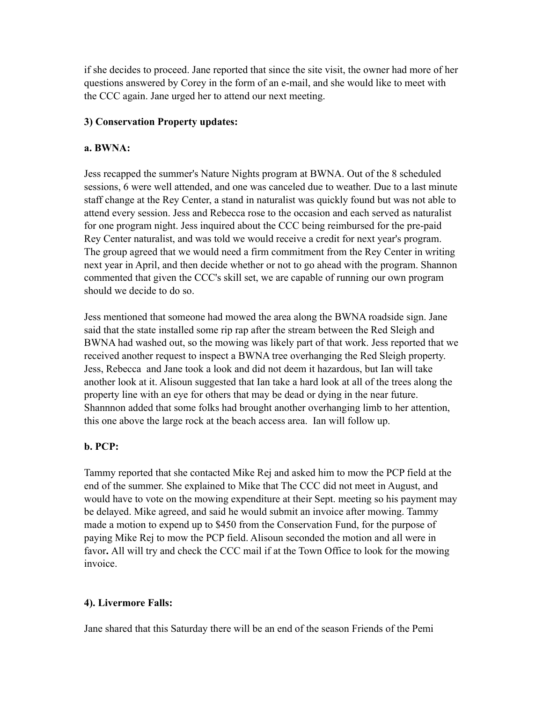if she decides to proceed. Jane reported that since the site visit, the owner had more of her questions answered by Corey in the form of an e-mail, and she would like to meet with the CCC again. Jane urged her to attend our next meeting.

## **3) Conservation Property updates:**

## **a. BWNA:**

Jess recapped the summer's Nature Nights program at BWNA. Out of the 8 scheduled sessions, 6 were well attended, and one was canceled due to weather. Due to a last minute staff change at the Rey Center, a stand in naturalist was quickly found but was not able to attend every session. Jess and Rebecca rose to the occasion and each served as naturalist for one program night. Jess inquired about the CCC being reimbursed for the pre-paid Rey Center naturalist, and was told we would receive a credit for next year's program. The group agreed that we would need a firm commitment from the Rey Center in writing next year in April, and then decide whether or not to go ahead with the program. Shannon commented that given the CCC's skill set, we are capable of running our own program should we decide to do so.

Jess mentioned that someone had mowed the area along the BWNA roadside sign. Jane said that the state installed some rip rap after the stream between the Red Sleigh and BWNA had washed out, so the mowing was likely part of that work. Jess reported that we received another request to inspect a BWNA tree overhanging the Red Sleigh property. Jess, Rebecca and Jane took a look and did not deem it hazardous, but Ian will take another look at it. Alisoun suggested that Ian take a hard look at all of the trees along the property line with an eye for others that may be dead or dying in the near future. Shannnon added that some folks had brought another overhanging limb to her attention, this one above the large rock at the beach access area. Ian will follow up.

# **b. PCP:**

Tammy reported that she contacted Mike Rej and asked him to mow the PCP field at the end of the summer. She explained to Mike that The CCC did not meet in August, and would have to vote on the mowing expenditure at their Sept. meeting so his payment may be delayed. Mike agreed, and said he would submit an invoice after mowing. Tammy made a motion to expend up to \$450 from the Conservation Fund, for the purpose of paying Mike Rej to mow the PCP field. Alisoun seconded the motion and all were in favor**.** All will try and check the CCC mail if at the Town Office to look for the mowing invoice.

# **4). Livermore Falls:**

Jane shared that this Saturday there will be an end of the season Friends of the Pemi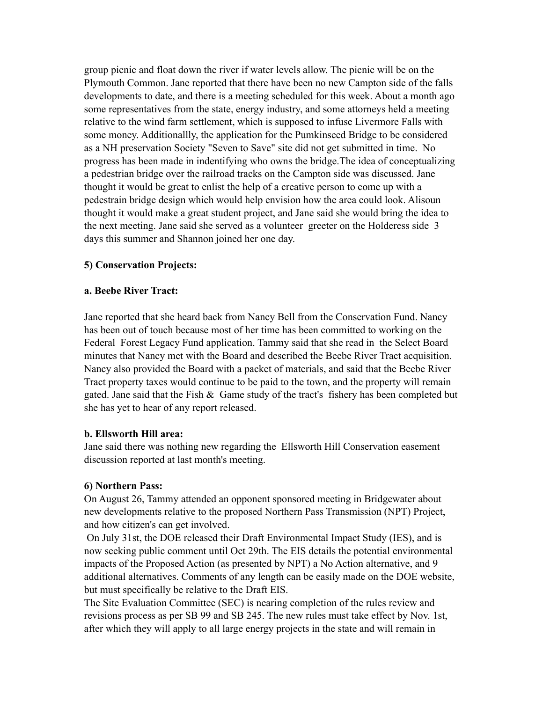group picnic and float down the river if water levels allow. The picnic will be on the Plymouth Common. Jane reported that there have been no new Campton side of the falls developments to date, and there is a meeting scheduled for this week. About a month ago some representatives from the state, energy industry, and some attorneys held a meeting relative to the wind farm settlement, which is supposed to infuse Livermore Falls with some money. Additionallly, the application for the Pumkinseed Bridge to be considered as a NH preservation Society "Seven to Save" site did not get submitted in time. No progress has been made in indentifying who owns the bridge.The idea of conceptualizing a pedestrian bridge over the railroad tracks on the Campton side was discussed. Jane thought it would be great to enlist the help of a creative person to come up with a pedestrain bridge design which would help envision how the area could look. Alisoun thought it would make a great student project, and Jane said she would bring the idea to the next meeting. Jane said she served as a volunteer greeter on the Holderess side 3 days this summer and Shannon joined her one day.

#### **5) Conservation Projects:**

#### **a. Beebe River Tract:**

Jane reported that she heard back from Nancy Bell from the Conservation Fund. Nancy has been out of touch because most of her time has been committed to working on the Federal Forest Legacy Fund application. Tammy said that she read in the Select Board minutes that Nancy met with the Board and described the Beebe River Tract acquisition. Nancy also provided the Board with a packet of materials, and said that the Beebe River Tract property taxes would continue to be paid to the town, and the property will remain gated. Jane said that the Fish  $\&$  Game study of the tract's fishery has been completed but she has yet to hear of any report released.

#### **b. Ellsworth Hill area:**

Jane said there was nothing new regarding the Ellsworth Hill Conservation easement discussion reported at last month's meeting.

#### **6) Northern Pass:**

On August 26, Tammy attended an opponent sponsored meeting in Bridgewater about new developments relative to the proposed Northern Pass Transmission (NPT) Project, and how citizen's can get involved.

 On July 31st, the DOE released their Draft Environmental Impact Study (IES), and is now seeking public comment until Oct 29th. The EIS details the potential environmental impacts of the Proposed Action (as presented by NPT) a No Action alternative, and 9 additional alternatives. Comments of any length can be easily made on the DOE website, but must specifically be relative to the Draft EIS.

The Site Evaluation Committee (SEC) is nearing completion of the rules review and revisions process as per SB 99 and SB 245. The new rules must take effect by Nov. 1st, after which they will apply to all large energy projects in the state and will remain in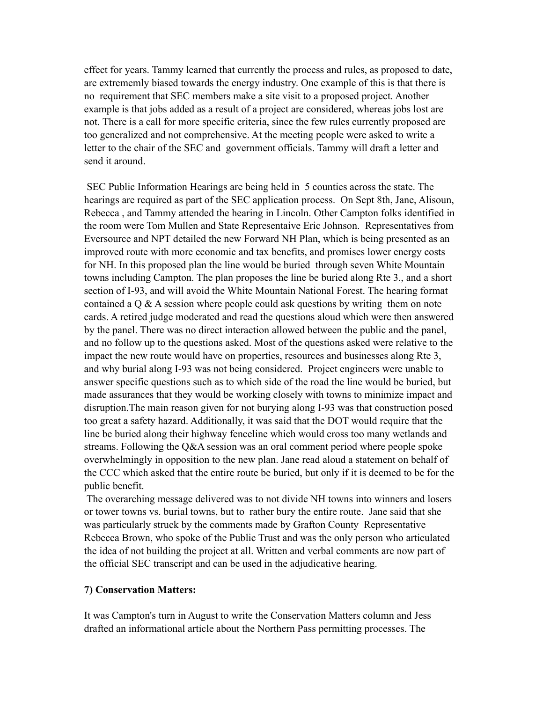effect for years. Tammy learned that currently the process and rules, as proposed to date, are extrememly biased towards the energy industry. One example of this is that there is no requirement that SEC members make a site visit to a proposed project. Another example is that jobs added as a result of a project are considered, whereas jobs lost are not. There is a call for more specific criteria, since the few rules currently proposed are too generalized and not comprehensive. At the meeting people were asked to write a letter to the chair of the SEC and government officials. Tammy will draft a letter and send it around.

 SEC Public Information Hearings are being held in 5 counties across the state. The hearings are required as part of the SEC application process. On Sept 8th, Jane, Alisoun, Rebecca , and Tammy attended the hearing in Lincoln. Other Campton folks identified in the room were Tom Mullen and State Representaive Eric Johnson. Representatives from Eversource and NPT detailed the new Forward NH Plan, which is being presented as an improved route with more economic and tax benefits, and promises lower energy costs for NH. In this proposed plan the line would be buried through seven White Mountain towns including Campton. The plan proposes the line be buried along Rte 3., and a short section of I-93, and will avoid the White Mountain National Forest. The hearing format contained a  $\overline{Q}$  & A session where people could ask questions by writing them on note cards. A retired judge moderated and read the questions aloud which were then answered by the panel. There was no direct interaction allowed between the public and the panel, and no follow up to the questions asked. Most of the questions asked were relative to the impact the new route would have on properties, resources and businesses along Rte 3, and why burial along I-93 was not being considered. Project engineers were unable to answer specific questions such as to which side of the road the line would be buried, but made assurances that they would be working closely with towns to minimize impact and disruption.The main reason given for not burying along I-93 was that construction posed too great a safety hazard. Additionally, it was said that the DOT would require that the line be buried along their highway fenceline which would cross too many wetlands and streams. Following the Q&A session was an oral comment period where people spoke overwhelmingly in opposition to the new plan. Jane read aloud a statement on behalf of the CCC which asked that the entire route be buried, but only if it is deemed to be for the public benefit.

 The overarching message delivered was to not divide NH towns into winners and losers or tower towns vs. burial towns, but to rather bury the entire route. Jane said that she was particularly struck by the comments made by Grafton County Representative Rebecca Brown, who spoke of the Public Trust and was the only person who articulated the idea of not building the project at all. Written and verbal comments are now part of the official SEC transcript and can be used in the adjudicative hearing.

#### **7) Conservation Matters:**

It was Campton's turn in August to write the Conservation Matters column and Jess drafted an informational article about the Northern Pass permitting processes. The